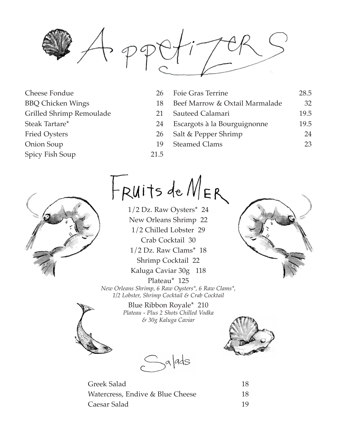

- Cheese Fondue 26 BBQ Chicken Wings 18 Grilled Shrimp Remoulade 21 Steak Tartare\* 24 Fried Oysters 26 Onion Soup 19 Spicy Fish Soup 21.5
	- Foie Gras Terrine 28.5 Beef Marrow & Oxtail Marmalade 32 Sauteed Calamari 19.5 Escargots à la Bourguignonne 19.5 Salt & Pepper Shrimp 24 Steamed Clams 23
	-



 $H$ RUITS de  $M_{ER}$ 

1/2 Dz. Raw Oysters\* 24 New Orleans Shrimp 22 1/2 Chilled Lobster 29 Crab Cocktail 30 1/2 Dz. Raw Clams\* 18 Shrimp Cocktail 22 Kaluga Caviar 30g 118 Plateau\* 125



*New Orleans Shrimp, 6 Raw Oysters\*, 6 Raw Clams\*, 1/2 Lobster, Shrimp Cocktail & Crab Cocktail*

> Blue Ribbon Royale\* 210 *Plateau - Plus 2 Shots Chilled Vodka & 30g Kaluga Caviar*







| Greek Salad                      | 18 |
|----------------------------------|----|
| Watercress, Endive & Blue Cheese | 18 |
| Caesar Salad                     | 19 |

| 18 |
|----|
| 18 |
| 19 |